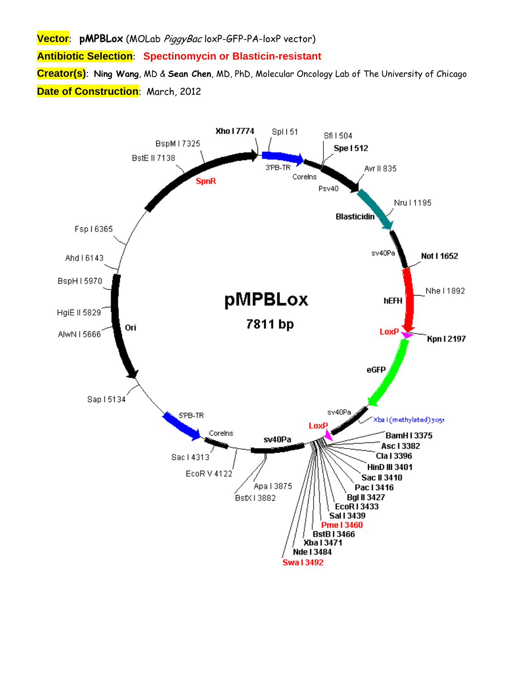**Vector**: **pMPBLox** (MOLab PiggyBac loxP-GFP-PA-loxP vector)

**Antibiotic Selection**: **Spectinomycin or Blasticin-resistant** 

**Creator(s)**: **Ning Wang**, MD & **Sean Chen**, MD, PhD, Molecular Oncology Lab of The University of Chicago **Date of Construction**: March, 2012

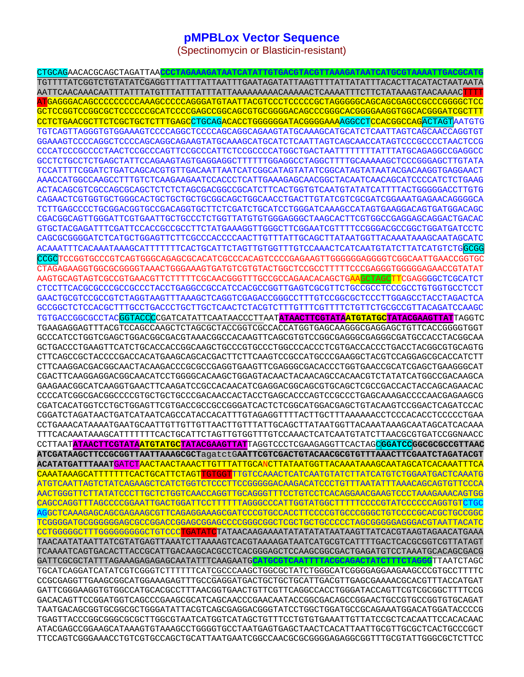## **pMPBLox Vector Sequence**

(Spectinomycin or Blasticin-resistant)

CTGCAGAACACGCAGCTAGATTAA**CCCTAGAAAGATAATCATATTGTGACGTACGTTAAAGATAATCATGCGTAAAATTGACGCATG** TGTTTTATCGGTCTGTATATCGAGGTTTATTTATTAATTTGAATAGATATTAAGTTTTATTATATTTACACTTACATACTAATAATA AATTCAACAAACAATTTATTTATGTTTATTTATTTATTAAAAAAAAACAAAAACTCAAAATTTCTTCTATAAAGTAACAAAACTTTT ATGAGGGACAGCCCCCCCCCAAAGCCCCCAGGGATGTAATTACGTCCCTCCCCCGCTAGGGGGCAGCAGCGAGCCGCCCGGGGCTCC GCTCCGGTCCGGCGCTCCCCCCGCATCCCCGAGCCGGCAGCGTGCGGGGACAGCCCGGGCACGGGGAAGGTGGCACGGGATCGCTTT CCTCTGAACGCTTCTCGCTGCTCTTTGAGCCTGCAGACACCTGGGGGGATACGGGGAAAAGGCCTCCACGGCCAGACTAGTAATGTG TGTCAGTTAGGGTGTGGAAAGTCCCCAGGCTCCCCAGCAGGCAGAAGTATGCAAAGCATGCATCTCAATTAGTCAGCAACCAGGTGT GGAAAGTCCCCAGGCTCCCCAGCAGGCAGAAGTATGCAAAGCATGCATCTCAATTAGTCAGCAACCATAGTCCCGCCCCTAACTCCG CCCATCCCGCCCCTAACTCCGCCCAGTTCCGCCCATTCTCCGCCCCATGGCTGACTAATTTTTTTTATTTATGCAGAGGCCGAGGCC GCCTCTGCCTCTGAGCTATTCCAGAAGTAGTGAGGAGGCTTTTTTGGAGGCCTAGGCTTTTGCAAAAAGCTCCCGGGAGCTTGTATA TCCATTTTCGGATCTGATCAGCACGTGTTGACAATTAATCATCGGCATAGTATATCGGCATAGTATAATACGACAAGGTGAGGAACT AAACCATGGCCAAGCCTTTGTCTCAAGAAGAATCCACCCTCATTGAAAGAGCAACGGCTACAATCAACAGCATCCCCATCTCTGAAG ACTACAGCGTCGCCAGCGCAGCTCTCTCTAGCGACGGCCGCATCTTCACTGGTGTCAATGTATATCATTTTACTGGGGGACCTTGTG CAGAACTCGTGGTGCTGGGCACTGCTGCTGCTGCGGCAGCTGGCAACCTGACTTGTATCGTCGCGATCGGAAATGAGAACAGGGGCA TCTTGAGCCCCTGCGGACGGTGCCGACAGGTGCTTCTCGATCTGCATCCTGGGATCAAAGCCATAGTGAAGGACAGTGATGGACAGC CGACGGCAGTTGGGATTCGTGAATTGCTGCCCTCTGGTTATGTGTGGGAGGGCTAAGCACTTCGTGGCCGAGGAGCAGGACTGACAC GTGCTACGAGATTTCGATTCCACCGCCGCCTTCTATGAAAGGTTGGGCTTCGGAATCGTTTTCCGGGACGCCGGCTGGATGATCCTC CAGCGCGGGGATCTCATGCTGGAGTTCTTCGCCCACCCCAACTTGTTTATTGCAGCTTATAATGGTTACAAATAAAGCAATAGCATC ACAAATTTCACAAATAAAGCATTTTTTTCACTGCATTCTAGTTGTGGTTTGTCCAAACTCATCAATGTATCTTATCATGTCTGGCGG CCGCTCCGGTGCCCGTCAGTGGGCAGAGCGCACATCGCCCACAGTCCCCGAGAAGTTGGGGGGAGGGTCGGCAATTGAACCGGTGC CTAGAGAAGGTGGCGCGGGGTAAACTGGGAAAGTGATGTCGTGTACTGGCTCCGCCTTTTTCCCGAGGGTGGGGGAGAACCGTATAT AAGTGCAGTAGTCGCCGTGAACGTTCTTTTTCGCAACGGGTTTGCCGCCAGAACACAGCTGAAGCTAGCTTCGAGGGGCTCGCATCT CTCCTTCACGCGCCCGCCGCCCTACCTGAGGCCGCCATCCACGCCGGTTGAGTCGCGTTCTGCCGCCTCCCGCCTGTGGTGCCTCCT GAACTGCGTCCGCCGTCTAGGTAAGTTTAAAGCTCAGGTCGAGACCGGGCCTTTGTCCGGCGCTCCCTTGGAGCCTACCTAGACTCA GCCGGCTCTCCACGCTTTGCCTGACCCTGCTTGCTCAACTCTACGTCTTTGTTTCGTTTTCTGTTCTGCGCCGTTACAGATCCAAGC TGTGACCGGCGCCTACGGTACCCCGATCATATTCAATAACCCTTAAT**ATAACTTCGTATAATGTATGCTATACGAAGTTAT**TAGGTC TGAAGAGGAGTTTACGTCCAGCCAAGCTCTAGCGCTACCGGTCGCCACCATGGTGAGCAAGGGCGAGGAGCTGTTCACCGGGGTGGT GCCCATCCTGGTCGAGCTGGACGGCGACGTAAACGGCCACAAGTTCAGCGTGTCCGGCGAGGGCGAGGGCGATGCCACCTACGGCAA GCTGACCCTGAAGTTCATCTGCACCACCGGCAAGCTGCCCGTGCCCTGGCCCACCCTCGTGACCACCCTGACCTACGGCGTGCAGTG CTTCAGCCGCTACCCCGACCACATGAAGCAGCACGACTTCTTCAAGTCCGCCATGCCCGAAGGCTACGTCCAGGAGCGCACCATCTT CTTCAAGGACGACGGCAACTACAAGACCCGCGCCGAGGTGAAGTTCGAGGGCGACACCCTGGTGAACCGCATCGAGCTGAAGGGCAT CGACTTCAAGGAGGACGGCAACATCCTGGGGCACAAGCTGGAGTACAACTACAACAGCCACAACGTCTATATCATGGCCGACAAGCA GAAGAACGGCATCAAGGTGAACTTCAAGATCCGCCACAACATCGAGGACGGCAGCGTGCAGCTCGCCGACCACTACCAGCAGAACAC CCCCATCGGCGACGGCCCCGTGCTGCTGCCCGACAACCACTACCTGAGCACCCAGTCCGCCCTGAGCAAAGACCCCAACGAGAAGCG CGATCACATGGTCCTGCTGGAGTTCGTGACCGCCGCCGGGATCACTCTCGGCATGGACGAGCTGTACAAGTCCGGACTCAGATCCAC CGGATCTAGATAACTGATCATAATCAGCCATACCACATTTGTAGAGGTTTTACTTGCTTTAAAAAACCTCCCACACCTCCCCCTGAA CCTGAAACATAAAATGAATGCAATTGTTGTTGTTAACTTGTTTATTGCAGCTTATAATGGTTACAAATAAAGCAATAGCATCACAAA TTTCACAAATAAAGCATTTTTTTCACTGCATTCTAGTTGTGGTTTGTCCAAACTCATCAATGTATCTTAACGCGTGATCCGGNAACC CCTTAAT**ATAACTTCGTATAATGTATGCTATACGAAGTTAT**TAGGTCCCTCGAAGAGGTTCACTAGC**GGATCCGGCGCGCCGTTAAC ATCGATAAGCTTCCGCGGTTAATTAAAGCGCT**agatctG**AATTCGTCGACTGTACAACGCGTGTTTAAACTTCGAATCTAGATACGT ACATATGATTTAAAT**GATCTAACTAACTAAACTTGTTTATTGCANCTTATAATGGTTACAAATAAAGCAATAGCATCACAAATTTCA CAAATAAAGCATTTTTTTCACTGCATTCTAGTTGTGGTTTGTCCAAACTCATCAATGTATCTTATCATGTCTGGAATGACTCAAATG ATGTCAATTAGTCTATCAGAAGCTCATCTGGTCTCCCTTCCGGGGGACAAGACATCCCTGTTTAATATTTAAACAGCAGTGTTCCCA AACTGGGTTCTTATATCCCTTGCTCTGGTCAACCAGGTTGCAGGGTTTCCTGTCCTCACAGGAACGAAGTCCCTAAAGAAACAGTGG CAGCCAGGTTTAGCCCCGGAATTGACTGGATTCCTTTTTTAGGGCCCATTGGTATGGCTTTTTCCCCGTATCCCCCCAGGTGTCTGC AGGCTCAAAGAGCAGCGAGAAGCGTTCAGAGGAAAGCGATCCCGTGCCACCTTCCCCGTGCCCGGGCTGTCCCCGCACGCTGCCGGC TCGGGGATGCGGGGGGAGCGCCGGACCGGAGCGGAGCCCCGGGCGGCTCGCTGCTGCCCCCTAGCGGGGGAGGGACGTAATTACATC CCTGGGGGCTTTGGGGGGGGCCTGTCCC<mark>TGATATC</mark>TATAACAAGAAAATATATATATAATAAGTTATCACGTAAGTAGAACATGAAA TAACAATATAATTATCGTATGAGTTAAATCTTAAAAGTCACGTAAAAGATAATCATGCGTCATTTTGACTCACGCGGTCGTTATAGT TCAAAATCAGTGACACTTACCGCATTGACAAGCACGCCTCACGGGAGCTCCAAGCGGCGACTGAGATGTCCTAAATGCACAGCGACG GATTCGCGCTATTTAGAAAGAGAGAGCAATATTTCAAGAATG**CATGCGTCAATTTTACGCAGACTATCTTTCTAGGG**TTAATCTAGC TGCATCAGGATCATATCGTCGGGTCTTTTTTCATCGCCCAAGCTGGCGCTATCTGGGCATCGGGGAGGAAGAAGCCCGTGCCTTTTC CCGCGAGGTTGAAGCGGCATGGAAAGAGTTTGCCGAGGATGACTGCTGCTGCATTGACGTTGAGCGAAAACGCACGTTTACCATGAT GATTCGGGAAGGTGTGGCCATGCACGCCTTTAACGGTGAACTGTTCGTTCAGGCCACCTGGGATACCAGTTCGTCGCGGCTTTTCCG GACACAGTTCCGGATGGTCAGCCCGAAGCGCATCAGCAACCCGAACAATACCGGCGACAGCCGGAACTGCCGTGCCGGTGTGCAGAT TAATGACAGCGGTGCGGCGCTGGGATATTACGTCAGCGAGGACGGGTATCCTGGCTGGATGCCGCAGAAATGGACATGGATACCCCG TGAGTTACCCGGCGGGCGCGCTTGGCGTAATCATGGTCATAGCTGTTTCCTGTGTGAAATTGTTATCCGCTCACAATTCCACACAAC ATACGAGCCGGAAGCATAAAGTGTAAAGCCTGGGGTGCCTAATGAGTGAGCTAACTCACATTAATTGCGTTGCGCTCACTGCCCGCT TTCCAGTCGGGAAACCTGTCGTGCCAGCTGCATTAATGAATCGGCCAACGCGCGGGGAGAGGCGGTTTGCGTATTGGGCGCTCTTCC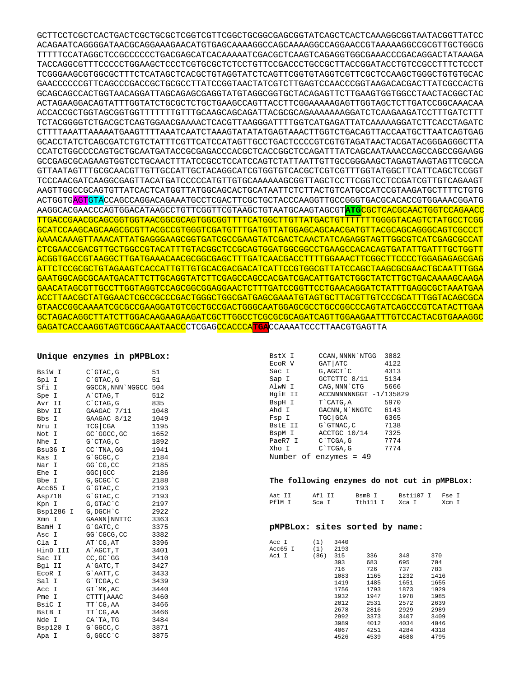GCTTCCTCGCTCACTGACTCGCTGCGCTCGGTCGTTCGGCTGCGGCGAGCGGTATCAGCTCACTCAAAGGCGGTAATACGGTTATCC ACAGAATCAGGGGATAACGCAGGAAAGAACATGTGAGCAAAAGGCCAGCAAAAGGCCAGGAACCGTAAAAAGGCCGCGTTGCTGGCG TTTTTCCATAGGCTCCGCCCCCCTGACGAGCATCACAAAAATCGACGCTCAAGTCAGAGGTGGCGAAACCCGACAGGACTATAAAGA TACCAGGCGTTTCCCCCTGGAAGCTCCCTCGTGCGCTCTCCTGTTCCGACCCTGCCGCTTACCGGATACCTGTCCGCCTTTCTCCCT TCGGGAAGCGTGGCGCTTTCTCATAGCTCACGCTGTAGGTATCTCAGTTCGGTGTAGGTCGTTCGCTCCAAGCTGGGCTGTGTGCAC GAACCCCCCGTTCAGCCCGACCGCTGCGCCTTATCCGGTAACTATCGTCTTGAGTCCAACCCGGTAAGACACGACTTATCGCCACTG GCAGCAGCCACTGGTAACAGGATTAGCAGAGCGAGGTATGTAGGCGGTGCTACAGAGTTCTTGAAGTGGTGGCCTAACTACGGCTAC ACTAGAAGGACAGTATTTGGTATCTGCGCTCTGCTGAAGCCAGTTACCTTCGGAAAAAGAGTTGGTAGCTCTTGATCCGGCAAACAA ACCACCGCTGGTAGCGGTGGTTTTTTTGTTTGCAAGCAGCAGATTACGCGCAGAAAAAAAGGATCTCAAGAAGATCCTTTGATCTTT TCTACGGGGTCTGACGCTCAGTGGAACGAAAACTCACGTTAAGGGATTTTGGTCATGAGATTATCAAAAAGGATCTTCACCTAGATC CTTTTAAATTAAAAATGAAGTTTTAAATCAATCTAAAGTATATATGAGTAAACTTGGTCTGACAGTTACCAATGCTTAATCAGTGAG GCACCTATCTCAGCGATCTGTCTATTTCGTTCATCCATAGTTGCCTGACTCCCCGTCGTGTAGATAACTACGATACGGGAGGGCTTA CCATCTGGCCCCAGTGCTGCAATGATACCGCGAGACCCACGCTCACCGGCTCCAGATTTATCAGCAATAAACCAGCCAGCCGGAAGG GCCGAGCGCAGAAGTGGTCCTGCAACTTTATCCGCCTCCATCCAGTCTATTAATTGTTGCCGGGAAGCTAGAGTAAGTAGTTCGCCA GTTAATAGTTTGCGCAACGTTGTTGCCATTGCTACAGGCATCGTGGTGTCACGCTCGTCGTTTGGTATGGCTTCATTCAGCTCCGGT TCCCAACGATCAAGGCGAGTTACATGATCCCCCATGTTGTGCAAAAAAGCGGTTAGCTCCTTCGGTCCTCCGATCGTTGTCAGAAGT AAGTTGGCCGCAGTGTTATCACTCATGGTTATGGCAGCACTGCATAATTCTCTTACTGTCATGCCATCCGTAAGATGCTTTTCTGTG ACTGGTGAGTGTACCAGCCAGGACAGAAATGCCTCGACTTCGCTGCTACCCAAGGTTGCCGGGTGACGCACACCGTGGAAACGGATG AAGGCACGAACCCAGTGGACATAAGCCTGTTCGGTTCGTAAGCTGTAATGCAAGTAGCGT**ATG**CGCTCACGCAACTGGTCCAGAACC TTGACCGAACGCAGCGGTGGTAACGGCGCAGTGGCGGTTTTCATGGCTTGTTATGACTGTTTTTTTGGGGTACAGTCTATGCCTCGG GCATCCAAGCAGCAAGCGCGTTACGCCGTGGGTCGATGTTTGATGTTATGGAGCAGCAACGATGTTACGCAGCAGGGCAGTCGCCCT AAAACAAAGTTAAACATTATGAGGGAAGCGGTGATCGCCGAAGTATCGACTCAACTATCAGAGGTAGTTGGCGTCATCGAGCGCCAT CTCGAACCGACGTTGCTGGCCGTACATTTGTACGGCTCCGCAGTGGATGGCGGCCTGAAGCCACACAGTGATATTGATTTGCTGGTT ACGGTGACCGTAAGGCTTGATGAAACAACGCGGCGAGCTTTGATCAACGACCTTTTGGAAACTTCGGCTTCCCCTGGAGAGAGCGAG ATTCTCCGCGCTGTAGAAGTCACCATTGTTGTGCACGACGACATCATTCCGTGGCGTTATCCAGCTAAGCGCGAACTGCAATTTGGA GAATGGCAGCGCAATGACATTCTTGCAGGTATCTTCGAGCCAGCCACGATCGACATTGATCTGGCTATCTTGCTGACAAAAGCAAGA GAACATAGCGTTGCCTTGGTAGGTCCAGCGGCGGAGGAACTCTTTGATCCGGTTCCTGAACAGGATCTATTTGAGGCGCTAAATGAA ACCTTAACGCTATGGAACTCGCCGCCCGACTGGGCTGGCGATGAGCGAAATGTAGTGCTTACGTTGTCCCGCATTTGGTACAGCGCA GTAACCGGCAAAATCGCGCCGAAGGATGTCGCTGCCGACTGGGCAATGGAGCGCCTGCCGGCCCAGTATCAGCCCGTCATACTTGAA GCTAGACAGGCTTATCTTGGACAAGAAGAAGATCGCTTGGCCTCGCGCGCAGATCAGTTGGAAGAATTTGTCCACTACGTGAAAGGC GAGATCACCAAGGTAGTCGGCAAATAACCCTCGAGCCACCCA**TGA**CCAAAATCCCTTAACGTGAGTTA

|  |  |  | Unique enzymes in pMPBLox: |
|--|--|--|----------------------------|
|--|--|--|----------------------------|

| BsiW I      | $C$ $GTAC$ , $G$ | 51   |
|-------------|------------------|------|
| Spl I       | C`GTAC, G        | 51   |
| Sfi I       | GGCCN, NNN`NGGCC | 504  |
| Spe I       | A`CTAG, T        | 512  |
| Avr II      | C`CTAG, G        | 835  |
| Bbv II      | GAAGAC 7/11      | 1048 |
| Bbs I       | GAAGAC 8/12      | 1049 |
| Nru I       | $TCG$ $CGA$      | 1195 |
| Not I       | GC `GGCC, GC     | 1652 |
| Nhe I       | G`CTAG, C        | 1892 |
| Bsu36<br>I  | CC `TNA, GG      | 1941 |
| Kas I       | G`GCGC, C        | 2184 |
| Nar I       | GG 'CG, CC       | 2185 |
| Ehe I       | GGC GCC          | 2186 |
| Bbe I       | G, GCGC `C       | 2188 |
| Acc65 I     | G`GTAC, C        | 2193 |
| Asp718      | G`GTAC, C        | 2193 |
| Kpn I       | G, GTAC`C        | 2197 |
| Bsp1286 I   | G, DGCH `C       | 2922 |
| Xmn I       | GAANN NNTTC      | 3363 |
| BamH I      | G`GATC, C        | 3375 |
| Asc I       | GG`CGCG, CC      | 3382 |
| Cla I       | AT `CG, AT       | 3396 |
| HinD III    | A`AGCT, T        | 3401 |
| Sac II      | $CC$ , $GC$ $GG$ | 3410 |
| Bgl II      | A`GATC, T        | 3427 |
| EcoR I      | G`AATT, C        | 3433 |
| Sal I       | G`TCGA, C        | 3439 |
| Acc I       | GT `MK, AC       | 3440 |
| Pme I       | CTTT   AAAC      | 3460 |
| BsiC I      | TT `CG, AA       | 3466 |
| BstB I      | TT `CG, AA       | 3466 |
| Nde I       | CA`TA, TG        | 3484 |
| Bsp120<br>Ι | G`GGCC, C        | 3871 |
| Apa<br>I    | G, GGCC `C       | 3875 |

| BstX I    | CCAN, NNNN `NTGG       | 3882 |
|-----------|------------------------|------|
| ECOR V    | GAT ATC                | 4122 |
| Sac I     | G, AGCT `C             | 4313 |
| Sap I     | GCTCTTC 8/11           | 5134 |
| AlwN I    | CAG, NNN`CTG           | 5666 |
| HqiE II   | ACCNNNNNNGGT -1/135829 |      |
| BspH I    | T CATG, A              | 5970 |
| Ahd I     | GACNN, N`NNGTC         | 6143 |
| Fsp I     | TGC GCA                | 6365 |
| BstE II   | G`GTNAC, C             | 7138 |
| BspM I    | ACCTGC 10/14           | 7325 |
| PaeR7 I   | C`TCGA, G              | 7774 |
| Xho I     | C`TCGA, G              | 7774 |
| Number of | enzymes = $49$         |      |

## **The following enzymes do not cut in pMPBLox:**

| Aat II | Afl TT | BsmB T   | Bst1107 T | Fse I   |
|--------|--------|----------|-----------|---------|
| PflM T | Sca I  | Tth111 T | Xca I     | $Xcm$ T |

## **pMPBLox: sites sorted by name:**

| Acc I   | (1)  | 3440 |      |      |      |
|---------|------|------|------|------|------|
| Acc65 I | (1)  | 2193 |      |      |      |
| Aci I   | (86) | 315  | 336  | 348  | 370  |
|         |      | 393  | 683  | 695  | 704  |
|         |      | 716  | 726  | 737  | 783  |
|         |      | 1083 | 1165 | 1232 | 1416 |
|         |      | 1419 | 1485 | 1651 | 1655 |
|         |      | 1756 | 1793 | 1873 | 1929 |
|         |      | 1932 | 1947 | 1978 | 1985 |
|         |      | 2012 | 2531 | 2572 | 2639 |
|         |      | 2678 | 2816 | 2929 | 2989 |
|         |      | 2992 | 3373 | 3407 | 3409 |
|         |      | 3989 | 4012 | 4034 | 4046 |
|         |      | 4067 | 4251 | 4284 | 4318 |
|         |      | 4526 | 4539 | 4688 | 4795 |
|         |      |      |      |      |      |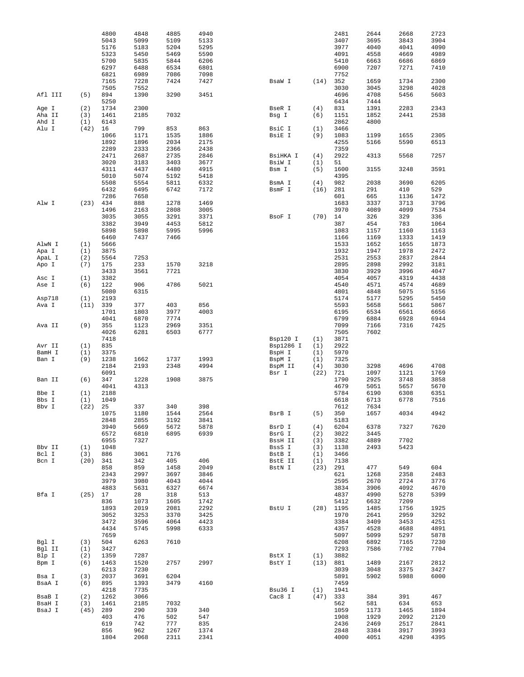|         |            | 4800        | 4848        | 4885         | 4940         |           |            | 2481         | 2644         | 2668         | 2723         |
|---------|------------|-------------|-------------|--------------|--------------|-----------|------------|--------------|--------------|--------------|--------------|
|         |            | 5043        | 5099        | 5109         | 5133         |           |            | 3407         | 3695         | 3843         | 3904         |
|         |            | 5176        | 5183        | 5204         | 5295         |           |            | 3977         | 4040         | 4041         | 4090         |
|         |            | 5323        | 5450        | 5469         | 5590         |           |            | 4091         | 4558         | 4669         | 4989         |
|         |            | 5700        | 5835        | 5844         | 6206         |           |            | 5410         | 6663         | 6686         | 6869         |
|         |            | 6297        | 6488        | 6534         | 6801         |           |            | 6900         | 7207         | 7271         | 7410         |
|         |            | 6821        | 6989        | 7086         | 7098         |           |            | 7752         |              |              |              |
|         |            | 7165        | 7228        | 7424         | 7427         | BsaW I    | (14)       | 352          | 1659         | 1734         | 2300         |
|         |            | 7505        | 7552        |              |              |           |            | 3030         | 3045         | 3298         | 4028         |
| Afl III | (5)        | 894         | 1390        | 3290         | 3451         |           |            | 4696         | 4708         | 5456         | 5603         |
|         |            | 5250        |             |              |              |           |            | 6434         | 7444         |              |              |
| Age I   | (2)        | 1734        | 2300        |              |              | BseR I    | (4)        | 831          | 1391         | 2283         | 2343         |
| Aha II  | (3)        | 1461        | 2185        | 7032         |              | Bsg I     | (6)        | 1151         | 1852         | 2441         | 2538         |
| Ahd I   | (1)        | 6143        |             |              |              |           |            | 2862         | 4800         |              |              |
| Alu I   | (42)       | 16          | 799         | 853          | 863          | BsiC I    | (1)        | 3466         |              |              |              |
|         |            | 1066        | 1171        | 1535         | 1886         | BsiE I    | (9)        | 1083         | 1199         | 1655         | 2305         |
|         |            | 1892        | 1896        | 2034         | 2175         |           |            | 4255         | 5166         | 5590         | 6513         |
|         |            | 2289        | 2333        | 2366         | 2438         |           |            | 7359         |              |              |              |
|         |            | 2471        | 2687        | 2735         | 2846         | BsiHKA I  | (4)        | 2922         | 4313         | 5568         | 7257         |
|         |            | 3020        | 3183        | 3403         | 3677         | BsiW I    | (1)        | 51           |              |              |              |
|         |            | 4311        | 4437        | 4480         | 4915         | Bsm I     | (5)        | 1600         | 3155         | 3248         | 3591         |
|         |            | 5010        | 5074        | 5192         | 5418         |           |            | 4395         |              |              |              |
|         |            | 5508        | 5554        | 5811         | 6332         | BsmA I    | (4)        | 982          | 2038         | 3690         | 6205         |
|         |            | 6432        | 6495        | 6742         | 7172         | BsmF I    | (16)       | 281          | 291          | 410          | 529          |
|         |            | 7286        | 7658        |              |              |           |            | 601          | 665          | 1136         | 1472         |
| Alw I   | $(23)$ 434 |             | 888         | 1278         | 1469         |           |            | 1683         | 3337         | 3713         | 3796         |
|         |            | 1496        | 2163        | 2808         | 3005         |           |            | 3970         | 4089         | 4099         | 7534         |
|         |            | 3035        | 3055        | 3291         | 3371         | BsoF I    | $(70)$ 14  |              | 326          | 329          | 336          |
|         |            | 3382        | 3949        | 4453         | 5812         |           |            | 387          | 454          | 783          | 1064         |
|         |            | 5898        | 5898        | 5995         | 5996         |           |            | 1083         | 1157         | 1160         | 1163         |
|         |            | 6460        | 7437        | 7466         |              |           |            | 1166         | 1169         | 1333         | 1419         |
|         |            | 5666        |             |              |              |           |            | 1533         | 1652         |              | 1873         |
| AlwN I  | (1)        | 3875        |             |              |              |           |            | 1932         | 1947         | 1655<br>1978 | 2472         |
| Apa I   | (1)<br>(2) | 5564        | 7253        |              |              |           |            | 2531         | 2553         | 2837         | 2844         |
| ApaL I  | (7)        | 175         | 233         | 1570         | 3218         |           |            | 2895         | 2898         | 2992         |              |
| Apo I   |            | 3433        | 3561        | 7721         |              |           |            | 3830         | 3929         | 3996         | 3181<br>4047 |
|         |            |             |             |              |              |           |            |              |              |              |              |
| Asc I   | (1)        | 3382        |             |              |              |           |            | 4054         | 4057         | 4319         | 4438         |
| Ase I   | (6)        | 122         | 906         | 4786         | 5021         |           |            | 4540         | 4571         | 4574         | 4689         |
|         |            | 5080        | 6315        |              |              |           |            | 4801         | 4848         | 5075         | 5156         |
| Asp718  | (1)        | 2193        |             |              |              |           |            | 5174         | 5177         | 5295         | 5450         |
| Ava I   | (11)       | 339         | 377         | 403          | 856          |           |            | 5593         | 5658         | 5661         | 5867         |
|         |            | 1701        | 1803        | 3977         | 4003         |           |            | 6195         | 6534         | 6561         | 6656         |
|         |            | 4041        | 6870        | 7774         |              |           |            | 6799         | 6884         | 6928         | 6944         |
| Ava II  | (9)        | 355         | 1123        | 2969         | 3351         |           |            | 7099         | 7166         | 7316         | 7425         |
|         |            | 4026        | 6281        | 6503         | 6777         |           |            | 7505         | 7602         |              |              |
|         |            | 7418        |             |              |              | Bsp120 I  | (1)        | 3871         |              |              |              |
| Avr II  | (1)        | 835         |             |              |              | Bsp1286 I | (1)        | 2922         |              |              |              |
| BamH I  | (1)        | 3375        |             |              |              | BspH I    | (1)        | 5970         |              |              |              |
| Ban I   | (9)        | 1238        | 1662        | 1737         | 1993         | BspM I    | (1)        | 7325         |              |              |              |
|         |            | 2184        | 2193        | 2348         | 4994         | BspM II   | (4)        | 3030         | 3298         | 4696         | 4708         |
|         |            | 6091        |             |              |              | Bsr I     | (22)       | 721          | 1097         | 1121         | 1769         |
| Ban II  | (6)        | 347         | 1228        | 1908         | 3875         |           |            | 1790         | 2925         | 3748         | 3858         |
|         |            | 4041        | 4313        |              |              |           |            | 4679         | 5051         | 5657         | 5670         |
| Bbe I   | (1)        | 2188        |             |              |              |           |            | 5784         | 6190         | 6308         | 6351         |
| Bbs I   | (1)        | 1049        |             |              |              |           |            | 6618         | 6713         | 6778         | 7516         |
| Bbv I   | (22)       | 25          | 337         | 340          | 398          |           |            | 7612         | 7634         |              |              |
|         |            | 1075        | 1180        | 1544         | 2564         | BsrB I    | (5)        | 350          | 1657         | 4034         | 4942         |
|         |            | 2848        | 2855        | 3192         | 3841         |           |            | 5183         |              |              |              |
|         |            | 3940        | 5669        | 5672         | 5878         | BsrD I    | (4)        | 6204         | 6378         | 7327         | 7620         |
|         |            | 6572        | 6810        | 6895         | 6939         | BsrG I    | (2)        | 3022         | 3445         |              |              |
|         |            | 6955        | 7327        |              |              | BssH II   | (3)        | 3382         | 4889         | 7702         |              |
| Bbv II  | (1)        | 1048        |             |              |              | BssS I    | (3)        | 1138         | 2493         | 5423         |              |
| Bcl I   | (3)        | 886         | 3061        | 7176         |              | BstB I    | (1)        | 3466         |              |              |              |
| Bcn I   | (20)       | 341         | 342         | 405          | 406          | BstE II   | (1)        | 7138         |              |              |              |
|         |            | 858         | 859         | 1458         | 2049         | BstN I    | (23) 291   |              | 477          | 549          | 604          |
|         |            | 2343        | 2997        | 3697         | 3846         |           |            | 621          | 1268         | 2358         | 2483         |
|         |            | 3979        | 3980        | 4043         | 4044         |           |            | 2595         | 2670         | 2724         | 3776         |
|         |            | 4883        | 5631        | 6327         | 6674         |           |            | 3834         | 3906         | 4092         | 4670         |
| Bfa I   | $(25)$ 17  |             | 28          | 318          | 513          |           |            | 4837         | 4990         | 5278         | 5399         |
|         |            | 836         | 1073        | 1605         | 1742         |           |            | 5412         | 6632         | 7209         |              |
|         |            | 1893        | 2019        | 2081         | 2292         | BstU I    | (28) 1195  |              | 1485         | 1756         | 1925         |
|         |            | 3052        | 3253        | 3370         | 3425         |           |            | 1970         | 2641         | 2959         | 3292         |
|         |            | 3472        | 3596        | 4064         | 4423         |           |            | 3384         | 3409         | 3453         | 4251         |
|         |            | 4434        | 5745        | 5998         | 6333         |           |            | 4357         | 4528         | 4688         | 4891         |
|         |            | 7659        |             |              |              |           |            | 5097         | 5099         | 5297         | 5878         |
| Bgl I   | (3)        | 504         | 6263        | 7610         |              |           |            | 6208         | 6892         | 7165         | 7230         |
| Bgl II  | (1)        | 3427        |             |              |              |           |            | 7293         | 7586         | 7702         | 7704         |
| Blp I   | (2)        | 1359        | 7287        |              |              | BstX I    | (1)        | 3882         |              |              |              |
| Bpm I   | (6)        | 1463        | 1520        | 2757         | 2997         | BstY I    | (13) 881   |              | 1489         | 2167         | 2812         |
|         |            | 6213        | 7230        |              |              |           |            | 3039         | 3048         | 3375         | 3427         |
| Bsa I   | (3)        | 2037        | 3691        | 6204         |              |           |            | 5891         | 5902         | 5988         | 6000         |
| BsaA I  | (6)        | 895         | 1393        | 3479         | 4160         |           |            | 7459         |              |              |              |
|         |            | 4218        | 7735        |              |              | Bsu36 I   | (1)        | 1941         |              |              |              |
| BsaB I  | (2)        | 1262        | 3066        |              |              | Cac8 I    | $(47)$ 333 |              | 384          | 391          | 467          |
| BsaH I  | (3)        | 1461        | 2185        | 7032         |              |           |            | 562          | 581          | 634          | 653          |
|         | (45)       | 289         | 290         | 339          | 340          |           |            | 1059         | 1173         | 1465         | 1894         |
| BsaJ I  |            |             |             |              |              |           |            | 1908         | 1929         |              |              |
|         |            | 403         |             |              |              |           |            |              |              |              |              |
|         |            |             | 476         | 502          | 547          |           |            |              |              | 2092         | 2120         |
|         |            | 619         | 742         | 777          | 835          |           |            | 2436         | 2469         | 2517         | 2841         |
|         |            | 856<br>1804 | 962<br>2068 | 1267<br>2311 | 1374<br>2341 |           |            | 2848<br>4000 | 3384<br>4051 | 3917<br>4298 | 3993<br>4395 |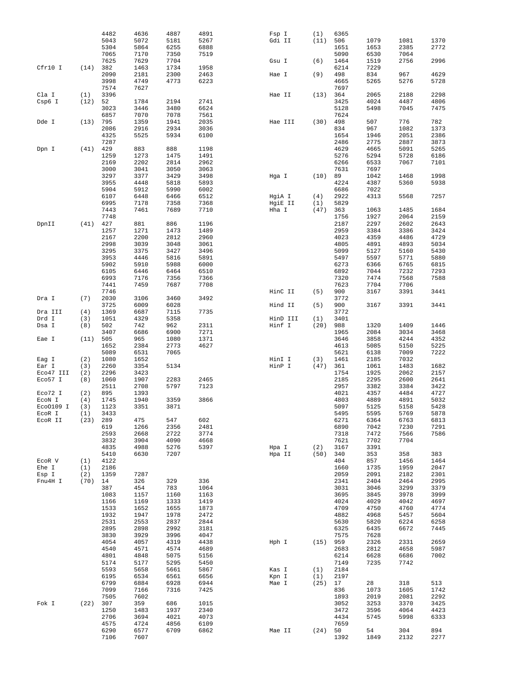|           |      | 4482         | 4636         | 4887 | 4891 | Fsp I    | (1)     | 6365 |            |             |             |
|-----------|------|--------------|--------------|------|------|----------|---------|------|------------|-------------|-------------|
|           |      | 5043         | 5072         | 5181 | 5267 | Gdi II   | (11)    | 506  | 1079       | 1081        | 1370        |
|           |      |              |              |      |      |          |         |      |            |             |             |
|           |      | 5304         | 5864         | 6255 | 6888 |          |         | 1651 | 1653       | 2385        | 2772        |
|           |      | 7065         | 7170         | 7350 | 7519 |          |         | 5090 | 6530       | 7064        |             |
|           |      | 7625         | 7629         | 7704 |      | Gsu I    | (6)     | 1464 | 1519       | 2756        | 2996        |
| Cfr10 I   | (14) | 382          | 1463         | 1734 | 1958 |          |         | 6214 | 7229       |             |             |
|           |      | 2090         | 2181         |      |      |          | (9)     | 498  | 834        | 967         | 4629        |
|           |      |              |              | 2300 | 2463 | Hae I    |         |      |            |             |             |
|           |      | 3998         | 4749         | 4773 | 6223 |          |         | 4665 | 5265       | 5276        | 5728        |
|           |      | 7574         | 7627         |      |      |          |         | 7697 |            |             |             |
| Cla I     | (1)  | 3396         |              |      |      | Hae II   | (13)    | 364  | 2065       | 2188        | 2298        |
|           |      |              |              |      |      |          |         |      |            |             |             |
| Csp6 I    | (12) | 52           | 1784         | 2194 | 2741 |          |         | 3425 | 4024       | 4487        | 4806        |
|           |      | 3023         | 3446         | 3480 | 6624 |          |         | 5128 | 5498       | 7045        | 7475        |
|           |      | 6857         | 7070         | 7078 | 7561 |          |         | 7624 |            |             |             |
| Dde I     | (13) | 795          | 1359         | 1941 | 2035 | Hae III  | (30)    | 498  | 507        | 776         | 782         |
|           |      |              |              |      |      |          |         |      |            |             |             |
|           |      | 2086         | 2916         | 2934 | 3036 |          |         | 834  | 967        | 1082        | 1373        |
|           |      | 4325         | 5525         | 5934 | 6100 |          |         | 1654 | 1946       | 2051        | 2386        |
|           |      | 7287         |              |      |      |          |         | 2486 | 2775       | 2887        | 3873        |
| Dpn I     | (41) | 429          | 883          | 888  | 1198 |          |         | 4629 | 4665       | 5091        | 5265        |
|           |      |              |              |      |      |          |         |      |            |             |             |
|           |      | 1259         | 1273         | 1475 | 1491 |          |         | 5276 | 5294       | 5728        | 6186        |
|           |      | 2169         | 2202         | 2814 | 2962 |          |         | 6266 | 6533       | 7067        | 7101        |
|           |      | 3000         | 3041         | 3050 | 3063 |          |         | 7631 | 7697       |             |             |
|           |      | 3297         | 3377         | 3429 | 3498 | Hga I    | (10)    | 89   | 1042       | 1468        | 1998        |
|           |      |              |              |      |      |          |         |      |            |             |             |
|           |      | 3955         | 4448         | 5818 | 5893 |          |         | 4224 | 4387       | 5360        | 5938        |
|           |      | 5904         | 5912         | 5990 | 6002 |          |         | 6686 | 7022       |             |             |
|           |      | 6107         | 6448         | 6466 | 6512 | HgiA I   | (4)     | 2922 | 4313       | 5568        | 7257        |
|           |      |              |              |      |      |          |         |      |            |             |             |
|           |      | 6995         | 7178         | 7358 | 7368 | HgiE II  | (1)     | 5829 |            |             |             |
|           |      | 7443         | 7461         | 7689 | 7710 | Hha I    | (47)    | 363  | 1063       | 1485        | 1684        |
|           |      | 7748         |              |      |      |          |         | 1756 | 1927       | 2064        | 2159        |
| DpnII     | (41) | 427          | 881          | 886  | 1196 |          |         | 2187 | 2297       | 2602        | 2643        |
|           |      |              |              |      |      |          |         |      |            |             |             |
|           |      | 1257         | 1271         | 1473 | 1489 |          |         | 2959 | 3384       | 3386        | 3424        |
|           |      | 2167         | 2200         | 2812 | 2960 |          |         | 4023 | 4359       | 4486        | 4729        |
|           |      | 2998         | 3039         | 3048 | 3061 |          |         | 4805 | 4891       | 4893        | 5034        |
|           |      |              |              |      |      |          |         |      |            |             |             |
|           |      | 3295         | 3375         | 3427 | 3496 |          |         | 5099 | 5127       | 5160        | 5430        |
|           |      | 3953         | 4446         | 5816 | 5891 |          |         | 5497 | 5597       | 5771        | 5880        |
|           |      | 5902         | 5910         | 5988 | 6000 |          |         | 6273 | 6366       | 6765        | 6815        |
|           |      | 6105         | 6446         | 6464 | 6510 |          |         | 6892 | 7044       | 7232        | 7293        |
|           |      |              |              |      |      |          |         |      |            |             |             |
|           |      | 6993         | 7176         | 7356 | 7366 |          |         | 7320 | 7474       | 7568        | 7588        |
|           |      | 7441         | 7459         | 7687 | 7708 |          |         | 7623 | 7704       | 7706        |             |
|           |      | 7746         |              |      |      | HinC II  | (5)     | 900  | 3167       | 3391        | 3441        |
|           |      |              |              |      |      |          |         |      |            |             |             |
| Dra I     | (7)  | 2030         | 3106         | 3460 | 3492 |          |         | 3772 |            |             |             |
|           |      | 3725         | 6009         | 6028 |      | Hind II  | (5)     | 900  | 3167       | 3391        | 3441        |
| Dra III   | (4)  | 1369         | 6687         | 7115 | 7735 |          |         | 3772 |            |             |             |
| Drd I     | (3)  | 1051         | 4329         | 5358 |      | HinD III | (1)     | 3401 |            |             |             |
| Dsa I     | (8)  | 502          | 742          | 962  | 2311 | Hinf I   | (20)    | 988  | 1320       | 1409        | 1446        |
|           |      |              |              |      |      |          |         |      |            |             |             |
|           |      | 3407         | 6686         | 6900 | 7271 |          |         | 1965 | 2084       | 3034        | 3468        |
| Eae I     | (11) | 505          | 965          | 1080 | 1371 |          |         | 3646 | 3858       | 4244        | 4352        |
|           |      | 1652         | 2384         | 2773 | 4627 |          |         | 4613 | 5085       | 5150        | 5225        |
|           |      |              |              |      |      |          |         |      |            |             |             |
|           |      | 5089         | 6531         | 7065 |      |          |         | 5621 | 6138       | 7009        | 7222        |
| Eag I     | (2)  | 1080         | 1652         |      |      | HinI I   | (3)     | 1461 | 2185       | 7032        |             |
| Ear I     | (3)  | 2260         | 3354         | 5134 |      | HinP I   | (47)    | 361  | 1061       | 1483        | 1682        |
| Eco47 III | (2)  | 2296         | 3423         |      |      |          |         | 1754 | 1925       | 2062        | 2157        |
|           |      |              |              |      |      |          |         |      |            |             |             |
| Eco57 I   | (8)  | 1060         | 1907         | 2283 | 2465 |          |         | 2185 | 2295       | 2600        | 2641        |
|           |      | 2511         | 2708         | 5797 | 7123 |          |         | 2957 | 3382       | 3384        | 3422        |
| Eco72 I   | (2)  | 895          | 1393         |      |      |          |         | 4021 | 4357       | 4484        | 4727        |
| ECON I    | (4)  | 1745         | 1940         | 3359 | 3866 |          |         | 4803 | 4889       | 4891        | 5032        |
|           |      |              |              |      |      |          |         |      |            |             |             |
| Eco0109 I | (3)  | 1123         | 3351         | 3871 |      |          |         | 5097 | 5125       | 5158        | 5428        |
| ECOR I    | (1)  | 3433         |              |      |      |          |         | 5495 | 5595       | 5769        | 5878        |
| ECOR II   | (23) | 289          | 475          | 547  | 602  |          |         | 6271 | 6364       | 6763        | 6813        |
|           |      | 619          | 1266         | 2356 | 2481 |          |         | 6890 | 7042       | 7230        | 7291        |
|           |      |              |              |      |      |          |         |      |            |             |             |
|           |      | 2593         | 2668         | 2722 | 3774 |          |         | 7318 | 7472       | 7566        | 7586        |
|           |      | 3832         | 3904         | 4090 | 4668 |          |         | 7621 | 7702       | 7704        |             |
|           |      | 4835         | 4988         | 5276 | 5397 | Hpa I    | (2)     | 3167 | 3391       |             |             |
|           |      | 5410         | 6630         | 7207 |      | Hpa II   | (50)    | 340  | 353        | 358         | 383         |
|           |      |              |              |      |      |          |         |      |            |             |             |
| ECOR V    | (1)  | 4122         |              |      |      |          |         | 404  | 857        | 1456        | 1464        |
| Ehe I     | (1)  | 2186         |              |      |      |          |         | 1660 | 1735       | 1959        | 2047        |
| Esp I     | (2)  | 1359         | 7287         |      |      |          |         | 2059 | 2091       | 2182        | 2301        |
| Fnu4H I   |      |              |              |      |      |          |         |      |            |             |             |
|           | (70) | 14           | 326          | 329  | 336  |          |         | 2341 | 2404       | 2464        | 2995        |
|           |      | 387          | 454          | 783  | 1064 |          |         | 3031 | 3046       | 3299        | 3379        |
|           |      | 1083         | 1157         | 1160 | 1163 |          |         | 3695 | 3845       | 3978        | 3999        |
|           |      | 1166         | 1169         | 1333 | 1419 |          |         | 4024 | 4029       | 4042        | 4697        |
|           |      |              |              |      |      |          |         |      |            |             |             |
|           |      | 1533         | 1652         | 1655 | 1873 |          |         | 4709 | 4750       | 4760        | 4774        |
|           |      | 1932         | 1947         | 1978 | 2472 |          |         | 4882 | 4968       | 5457        | 5604        |
|           |      | 2531         | 2553         | 2837 | 2844 |          |         | 5630 | 5820       | 6224        | 6258        |
|           |      | 2895         | 2898         | 2992 | 3181 |          |         | 6325 | 6435       | 6672        | 7445        |
|           |      |              |              |      |      |          |         |      |            |             |             |
|           |      | 3830         | 3929         | 3996 | 4047 |          |         | 7575 | 7628       |             |             |
|           |      | 4054         | 4057         | 4319 | 4438 | Hph I    | (15)    | 959  | 2326       | 2331        | 2659        |
|           |      | 4540         | 4571         | 4574 | 4689 |          |         | 2683 | 2812       | 4658        | 5987        |
|           |      |              |              |      |      |          |         |      |            |             |             |
|           |      | 4801         | 4848         | 5075 | 5156 |          |         | 6214 | 6628       | 6686        | 7002        |
|           |      | 5174         | 5177         | 5295 | 5450 |          |         | 7149 | 7235       | 7742        |             |
|           |      | 5593         | 5658         | 5661 | 5867 | Kas I    | (1)     | 2184 |            |             |             |
|           |      |              |              |      |      |          |         |      |            |             |             |
|           |      | 6195         | 6534         | 6561 | 6656 | Kpn I    | (1)     | 2197 |            |             |             |
|           |      | 6799         | 6884         | 6928 | 6944 | Mae I    | (25)    | 17   | 28         | 318         | 513         |
|           |      | 7099         | 7166         | 7316 | 7425 |          |         | 836  | 1073       | 1605        | 1742        |
|           |      | 7505         | 7602         |      |      |          |         | 1893 | 2019       | 2081        | 2292        |
| Fok I     | (22) | 307          | 359          | 686  | 1015 |          |         | 3052 | 3253       | 3370        |             |
|           |      |              |              |      |      |          |         |      |            |             | 3425        |
|           |      | 1250         | 1483         | 1937 | 2340 |          |         | 3472 | 3596       | 4064        | 4423        |
|           |      | 2706         | 3694         | 4021 | 4073 |          |         | 4434 | 5745       | 5998        | 6333        |
|           |      | 4575         | 4724         | 4856 | 6109 |          |         | 7659 |            |             |             |
|           |      |              |              |      |      |          |         |      |            |             |             |
|           |      |              |              |      |      |          |         |      |            |             |             |
|           |      | 6290<br>7106 | 6577<br>7607 | 6709 | 6862 | Mae II   | (24) 50 | 1392 | 54<br>1849 | 304<br>2132 | 894<br>2277 |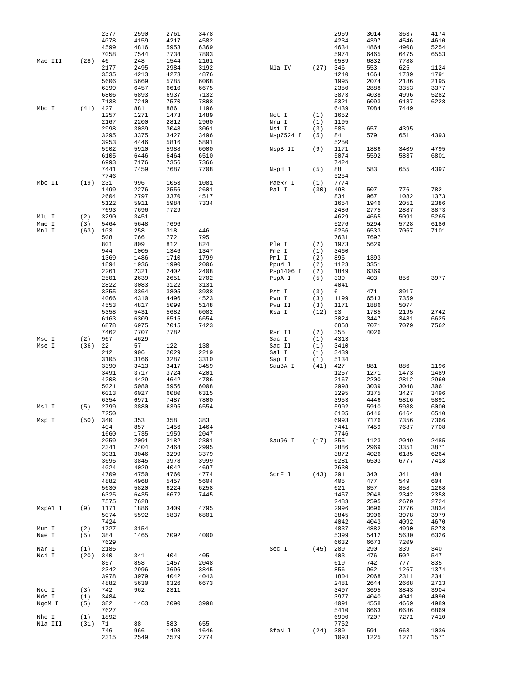|         |            | 2377         | 2590         | 2761        | 3478        |           |            | 2969         | 3014         | 3637         | 4174         |
|---------|------------|--------------|--------------|-------------|-------------|-----------|------------|--------------|--------------|--------------|--------------|
|         |            | 4078         | 4159         | 4217        | 4582        |           |            | 4234         | 4397         | 4546         | 4610         |
|         |            | 4599         | 4816         | 5953        | 6369        |           |            | 4634         | 4864         | 4908         | 5254         |
|         |            | 7058         | 7544         | 7734        | 7803        |           |            | 5974         | 6465         | 6475         | 6553         |
| Mae III | (28)       | 46           | 248          | 1544        | 2161        |           |            | 6589         | 6832         | 7788         |              |
|         |            | 2177         | 2495         | 2984        | 3192        | Nla IV    | $(27)$ 346 |              | 553          | 625          | 1124         |
|         |            | 3535         | 4213         | 4273        | 4876        |           |            | 1240         | 1664         | 1739         | 1791         |
|         |            | 5606         | 5669         | 5785        | 6068        |           |            | 1995         | 2074         | 2186         | 2195         |
|         |            | 6399         | 6457         | 6610        | 6675        |           |            | 2350         | 2888         | 3353         | 3377         |
|         |            | 6806         | 6893         | 6937        | 7132        |           |            | 3873         | 4038         | 4996         | 5282         |
|         |            | 7138         | 7240         | 7570        | 7808        |           |            | 5321         | 6093         | 6187         | 6228         |
| Mbo I   | (41)       | 427          | 881          | 886         | 1196        |           |            | 6439         | 7084         | 7449         |              |
|         |            | 1257         | 1271         | 1473        | 1489        | Not I     | (1)        | 1652         |              |              |              |
|         |            | 2167         | 2200         | 2812        | 2960        | Nru I     | (1)        | 1195         |              |              |              |
|         |            | 2998         | 3039         | 3048        | 3061        | Nsi I     | (3)        | 585          | 657          | 4395         |              |
|         |            | 3295         | 3375         | 3427        | 3496        | Nsp7524 I | (5)        | 84           | 579          | 651          | 4393         |
|         |            | 3953         | 4446         | 5816        | 5891        |           |            | 5250         |              |              |              |
|         |            | 5902         | 5910         | 5988        | 6000        | NspB II   | (9)        | 1171         | 1886         | 3409         | 4795         |
|         |            | 6105         | 6446         | 6464        | 6510        |           |            | 5074         | 5592         | 5837         | 6801         |
|         |            | 6993         | 7176         | 7356        | 7366        |           |            | 7424         |              |              |              |
|         |            | 7441         | 7459         | 7687        | 7708        | NspH I    | (5)        | 88           | 583          | 655          | 4397         |
|         |            | 7746         |              |             |             |           |            | 5254         |              |              |              |
| Mbo II  | (19)       | 231          | 996          | 1053        | 1081        | PaeR7 I   | (1)        | 7774         |              |              |              |
|         |            | 1499         | 2276         | 2556        | 2601        | Pal I     | (30)       | 498          | 507          | 776          | 782          |
|         |            | 2604         | 2797         | 3370        | 4517        |           |            | 834          | 967          | 1082         | 1373         |
|         |            | 5122         | 5911         | 5984        | 7334        |           |            | 1654         | 1946         | 2051         | 2386         |
|         |            |              |              | 7729        |             |           |            |              |              |              |              |
| Mlu I   | (2)        | 7693<br>3290 | 7696<br>3451 |             |             |           |            | 2486<br>4629 | 2775<br>4665 | 2887<br>5091 | 3873<br>5265 |
| Mme I   | (3)        | 5464         | 5648         | 7696        |             |           |            | 5276         | 5294         | 5728         | 6186         |
|         | (63)       | 103          |              |             | 446         |           |            | 6266         |              | 7067         |              |
| Mnl I   |            | 508          | 258          | 318<br>772  |             |           |            |              | 6533         |              | 7101         |
|         |            |              | 766          |             | 795         |           |            | 7631         | 7697         |              |              |
|         |            | 801          | 809          | 812         | 824         | Ple I     | (2)        | 1973         | 5629         |              |              |
|         |            | 944          | 1005         | 1346        | 1347        | Pme I     | (1)        | 3460         |              |              |              |
|         |            | 1369         | 1486         | 1710        | 1799        | Pml I     | (2)        | 895          | 1393         |              |              |
|         |            | 1894         | 1936         | 1990        | 2006        | PpuM I    | (2)        | 1123         | 3351         |              |              |
|         |            | 2261         | 2321         | 2402        | 2408        | Psp1406 I | (2)        | 1849         | 6369         |              |              |
|         |            | 2501         | 2639         | 2651        | 2702        | PspA I    | (5)        | 339          | 403          | 856          | 3977         |
|         |            | 2822         | 3083         | 3122        | 3131        |           |            | 4041         |              |              |              |
|         |            | 3355         | 3364         | 3805        | 3938        | Pst I     | (3)        | 6            | 471          | 3917         |              |
|         |            | 4066         | 4310         | 4496        | 4523        | Pvu I     | (3)        | 1199         | 6513         | 7359         |              |
|         |            | 4553         | 4817         | 5099        | 5148        | Pvu II    | (3)        | 1171         | 1886         | 5074         |              |
|         |            | 5358         | 5431         | 5682        | 6082        | Rsa I     | (12)       | 53           | 1785         | 2195         | 2742         |
|         |            | 6163         | 6309         | 6515        | 6654        |           |            | 3024         | 3447         | 3481         | 6625         |
|         |            | 6878         | 6975         | 7015        | 7423        |           |            | 6858         | 7071         | 7079         | 7562         |
|         |            | 7462         | 7707         | 7782        |             | Rsr II    | (2)        | 355          | 4026         |              |              |
| Msc I   | (2)        | 967          | 4629         |             |             | Sac I     | (1)        | 4313         |              |              |              |
| Mse I   | (36)       | 22           | 57           | 122         | 138         | Sac II    | (1)        | 3410         |              |              |              |
|         |            | 212          | 906          | 2029        | 2219        | Sal I     | (1)        | 3439         |              |              |              |
|         |            | 3105         | 3166         | 3287        | 3310        | Sap I     | (1)        | 5134         |              |              |              |
|         |            | 3390         | 3413         | 3417        |             | Sau3A I   | (41)       | 427          |              | 886          | 1196         |
|         |            |              |              |             | 3459        |           |            |              | 881          |              |              |
|         |            | 3491         | 3717         | 3724        | 4201        |           |            | 1257         | 1271         | 1473         | 1489         |
|         |            | 4208         | 4429         | 4642        | 4786        |           |            | 2167         | 2200         | 2812         | 2960         |
|         |            | 5021         | 5080         | 5956        | 6008        |           |            | 2998         | 3039         | 3048         | 3061         |
|         |            | 6013         | 6027         | 6080        | 6315        |           |            | 3295         | 3375         | 3427         | 3496         |
|         |            | 6354         | 6971         | 7487        | 7800        |           |            | 3953         | 4446         | 5816         | 5891         |
| Msl I   | (5)        | 2799         | 3880         | 6395        | 6554        |           |            | 5902         | 5910         | 5988         | 6000         |
|         |            | 7250         |              |             |             |           |            | 6105         | 6446         | 6464         | 6510         |
| Msp I   |            | (50) 340     | 353          | 358         | 383         |           |            | 6993         | 7176         | 7356         | 7366         |
|         |            | 404          | 857          | 1456        | 1464        |           |            | 7441         | 7459         | 7687         | 7708         |
|         |            | 1660         | 1735         | 1959        | 2047        |           |            | 7746         |              |              |              |
|         |            | 2059         | 2091         | 2182        | 2301        | Sau96 I   | $(17)$ 355 |              | 1123         | 2049         | 2485         |
|         |            | 2341         | 2404         | 2464        | 2995        |           |            | 2886         | 2969         | 3351         | 3871         |
|         |            | 3031         | 3046         | 3299        | 3379        |           |            | 3872         | 4026         | 6185         | 6264         |
|         |            | 3695         | 3845         | 3978        | 3999        |           |            | 6281         | 6503         | 6777         | 7418         |
|         |            | 4024         | 4029         | 4042        | 4697        |           |            | 7630         |              |              |              |
|         |            | 4709         | 4750         | 4760        | 4774        | ScrF I    | $(43)$ 291 |              | 340          | 341          | 404          |
|         |            | 4882         | 4968         | 5457        | 5604        |           |            | 405          | 477          | 549          | 604          |
|         |            | 5630         | 5820         | 6224        | 6258        |           |            | 621          | 857          | 858          | 1268         |
|         |            | 6325         | 6435         | 6672        | 7445        |           |            | 1457         | 2048         | 2342         | 2358         |
|         |            | 7575         | 7628         |             |             |           |            | 2483         | 2595         | 2670         | 2724         |
| MspAl I | (9)        | 1171         | 1886         | 3409        | 4795        |           |            | 2996         | 3696         | 3776         | 3834         |
|         |            | 5074         | 5592         | 5837        | 6801        |           |            | 3845         | 3906         | 3978         | 3979         |
|         |            | 7424         |              |             |             |           |            | 4042         | 4043         | 4092         | 4670         |
| Mun I   | (2)        | 1727         | 3154         |             |             |           |            | 4837         | 4882         | 4990         | 5278         |
| Nae I   | (5)        | 384          | 1465         | 2092        | 4000        |           |            | 5399         | 5412         | 5630         | 6326         |
|         |            | 7629         |              |             |             |           |            | 6632         | 6673         | 7209         |              |
| Nar I   | (1)        | 2185         |              |             |             | Sec I     | (45) 289   |              | 290          | 339          | 340          |
| Nci I   | $(20)$ 340 |              | 341          | 404         | 405         |           |            | 403          | 476          | 502          | 547          |
|         |            | 857          | 858          | 1457        | 2048        |           |            | 619          | 742          | 777          | 835          |
|         |            | 2342         | 2996         | 3696        | 3845        |           |            | 856          | 962          | 1267         |              |
|         |            | 3978         | 3979         | 4042        | 4043        |           |            | 1804         | 2068         | 2311         | 1374<br>2341 |
|         |            | 4882         | 5630         | 6326        | 6673        |           |            | 2481         | 2644         | 2668         | 2723         |
| Nco I   | (3)        | 742          | 962          | 2311        |             |           |            | 3407         | 3695         | 3843         | 3904         |
|         |            | 3484         |              |             |             |           |            |              | 4040         | 4041         |              |
| Nde I   | (1)        |              |              |             |             |           |            | 3977         |              |              | 4090         |
| NgoM I  | (5)        | 382<br>7627  | 1463         | 2090        | 3998        |           |            | 4091         | 4558         | 4669         | 4989         |
|         |            |              |              |             |             |           |            | 5410         | 6663         | 6686         | 6869         |
| Nhe I   | (1)        | 1892         |              |             |             |           |            | 6900         | 7207         | 7271         | 7410         |
| Nla III | (31)       | 71<br>746    | 88<br>966    | 583<br>1498 | 655<br>1646 | SfaN I    | $(24)$ 380 | 7752         | 591          | 663          | 1036         |